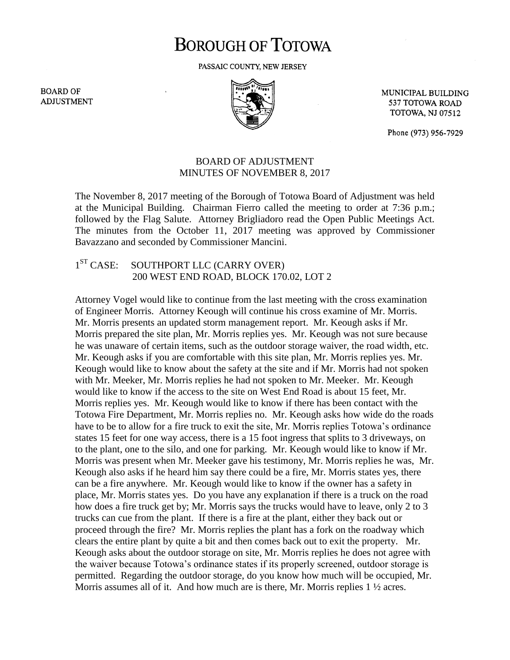## **BOROUGH OF TOTOWA**

PASSAIC COUNTY, NEW JERSEY

**BOARD OF ADJUSTMENT** 



MUNICIPAL BUILDING 537 TOTOWA ROAD **TOTOWA, NJ 07512** 

Phone (973) 956-7929

## BOARD OF ADJUSTMENT MINUTES OF NOVEMBER 8, 2017

The November 8, 2017 meeting of the Borough of Totowa Board of Adjustment was held at the Municipal Building. Chairman Fierro called the meeting to order at 7:36 p.m.; followed by the Flag Salute. Attorney Brigliadoro read the Open Public Meetings Act. The minutes from the October 11, 2017 meeting was approved by Commissioner Bavazzano and seconded by Commissioner Mancini.

## $1<sup>ST</sup> CASE:$ SOUTHPORT LLC (CARRY OVER) 200 WEST END ROAD, BLOCK 170.02, LOT 2

Attorney Vogel would like to continue from the last meeting with the cross examination of Engineer Morris. Attorney Keough will continue his cross examine of Mr. Morris. Mr. Morris presents an updated storm management report. Mr. Keough asks if Mr. Morris prepared the site plan, Mr. Morris replies yes. Mr. Keough was not sure because he was unaware of certain items, such as the outdoor storage waiver, the road width, etc. Mr. Keough asks if you are comfortable with this site plan, Mr. Morris replies yes. Mr. Keough would like to know about the safety at the site and if Mr. Morris had not spoken with Mr. Meeker, Mr. Morris replies he had not spoken to Mr. Meeker. Mr. Keough would like to know if the access to the site on West End Road is about 15 feet, Mr. Morris replies yes. Mr. Keough would like to know if there has been contact with the Totowa Fire Department, Mr. Morris replies no. Mr. Keough asks how wide do the roads have to be to allow for a fire truck to exit the site, Mr. Morris replies Totowa's ordinance states 15 feet for one way access, there is a 15 foot ingress that splits to 3 driveways, on to the plant, one to the silo, and one for parking. Mr. Keough would like to know if Mr. Morris was present when Mr. Meeker gave his testimony, Mr. Morris replies he was, Mr. Keough also asks if he heard him say there could be a fire, Mr. Morris states yes, there can be a fire anywhere. Mr. Keough would like to know if the owner has a safety in place, Mr. Morris states yes. Do you have any explanation if there is a truck on the road how does a fire truck get by; Mr. Morris says the trucks would have to leave, only 2 to 3 trucks can cue from the plant. If there is a fire at the plant, either they back out or proceed through the fire? Mr. Morris replies the plant has a fork on the roadway which clears the entire plant by quite a bit and then comes back out to exit the property. Mr. Keough asks about the outdoor storage on site, Mr. Morris replies he does not agree with the waiver because Totowa's ordinance states if its properly screened, outdoor storage is permitted. Regarding the outdoor storage, do you know how much will be occupied, Mr. Morris assumes all of it. And how much are is there, Mr. Morris replies 1  $\frac{1}{2}$  acres.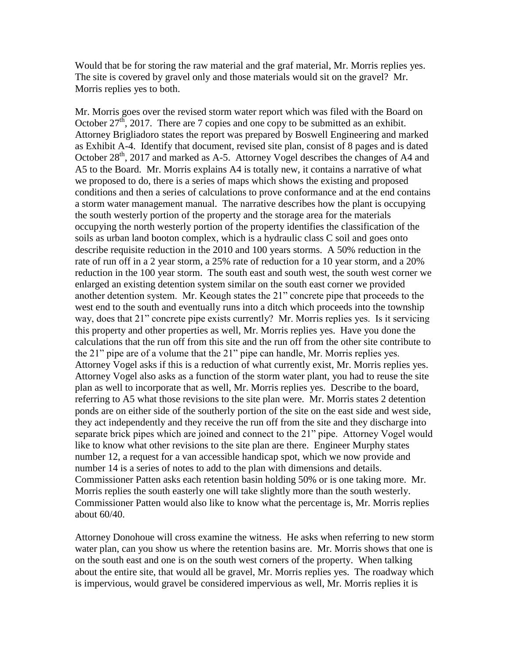Would that be for storing the raw material and the graf material, Mr. Morris replies yes. The site is covered by gravel only and those materials would sit on the gravel? Mr. Morris replies yes to both.

Mr. Morris goes over the revised storm water report which was filed with the Board on October  $27<sup>th</sup>$ , 2017. There are 7 copies and one copy to be submitted as an exhibit. Attorney Brigliadoro states the report was prepared by Boswell Engineering and marked as Exhibit A-4. Identify that document, revised site plan, consist of 8 pages and is dated October 28<sup>th</sup>, 2017 and marked as A-5. Attorney Vogel describes the changes of A4 and A5 to the Board. Mr. Morris explains A4 is totally new, it contains a narrative of what we proposed to do, there is a series of maps which shows the existing and proposed conditions and then a series of calculations to prove conformance and at the end contains a storm water management manual. The narrative describes how the plant is occupying the south westerly portion of the property and the storage area for the materials occupying the north westerly portion of the property identifies the classification of the soils as urban land booton complex, which is a hydraulic class C soil and goes onto describe requisite reduction in the 2010 and 100 years storms. A 50% reduction in the rate of run off in a 2 year storm, a 25% rate of reduction for a 10 year storm, and a 20% reduction in the 100 year storm. The south east and south west, the south west corner we enlarged an existing detention system similar on the south east corner we provided another detention system. Mr. Keough states the 21" concrete pipe that proceeds to the west end to the south and eventually runs into a ditch which proceeds into the township way, does that 21" concrete pipe exists currently? Mr. Morris replies yes. Is it servicing this property and other properties as well, Mr. Morris replies yes. Have you done the calculations that the run off from this site and the run off from the other site contribute to the 21" pipe are of a volume that the 21" pipe can handle, Mr. Morris replies yes. Attorney Vogel asks if this is a reduction of what currently exist, Mr. Morris replies yes. Attorney Vogel also asks as a function of the storm water plant, you had to reuse the site plan as well to incorporate that as well, Mr. Morris replies yes. Describe to the board, referring to A5 what those revisions to the site plan were. Mr. Morris states 2 detention ponds are on either side of the southerly portion of the site on the east side and west side, they act independently and they receive the run off from the site and they discharge into separate brick pipes which are joined and connect to the 21" pipe. Attorney Vogel would like to know what other revisions to the site plan are there. Engineer Murphy states number 12, a request for a van accessible handicap spot, which we now provide and number 14 is a series of notes to add to the plan with dimensions and details. Commissioner Patten asks each retention basin holding 50% or is one taking more. Mr. Morris replies the south easterly one will take slightly more than the south westerly. Commissioner Patten would also like to know what the percentage is, Mr. Morris replies about 60/40.

Attorney Donohoue will cross examine the witness. He asks when referring to new storm water plan, can you show us where the retention basins are. Mr. Morris shows that one is on the south east and one is on the south west corners of the property. When talking about the entire site, that would all be gravel, Mr. Morris replies yes. The roadway which is impervious, would gravel be considered impervious as well, Mr. Morris replies it is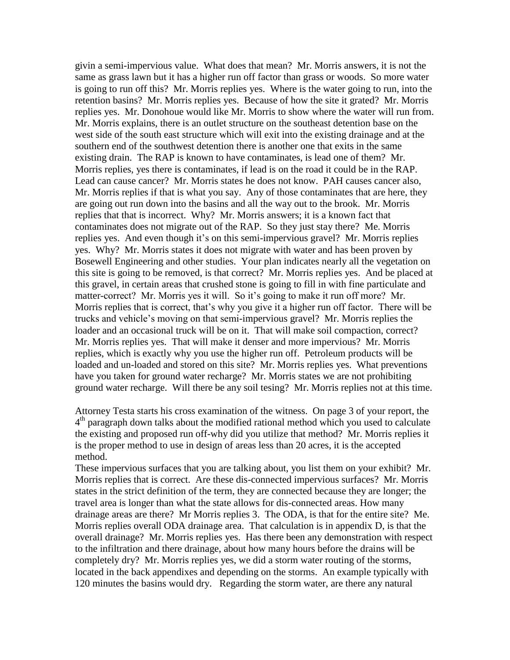givin a semi-impervious value. What does that mean? Mr. Morris answers, it is not the same as grass lawn but it has a higher run off factor than grass or woods. So more water is going to run off this? Mr. Morris replies yes. Where is the water going to run, into the retention basins? Mr. Morris replies yes. Because of how the site it grated? Mr. Morris replies yes. Mr. Donohoue would like Mr. Morris to show where the water will run from. Mr. Morris explains, there is an outlet structure on the southeast detention base on the west side of the south east structure which will exit into the existing drainage and at the southern end of the southwest detention there is another one that exits in the same existing drain. The RAP is known to have contaminates, is lead one of them? Mr. Morris replies, yes there is contaminates, if lead is on the road it could be in the RAP. Lead can cause cancer? Mr. Morris states he does not know. PAH causes cancer also, Mr. Morris replies if that is what you say. Any of those contaminates that are here, they are going out run down into the basins and all the way out to the brook. Mr. Morris replies that that is incorrect. Why? Mr. Morris answers; it is a known fact that contaminates does not migrate out of the RAP. So they just stay there? Me. Morris replies yes. And even though it's on this semi-impervious gravel? Mr. Morris replies yes. Why? Mr. Morris states it does not migrate with water and has been proven by Bosewell Engineering and other studies. Your plan indicates nearly all the vegetation on this site is going to be removed, is that correct? Mr. Morris replies yes. And be placed at this gravel, in certain areas that crushed stone is going to fill in with fine particulate and matter-correct? Mr. Morris yes it will. So it's going to make it run off more? Mr. Morris replies that is correct, that's why you give it a higher run off factor. There will be trucks and vehicle's moving on that semi-impervious gravel? Mr. Morris replies the loader and an occasional truck will be on it. That will make soil compaction, correct? Mr. Morris replies yes. That will make it denser and more impervious? Mr. Morris replies, which is exactly why you use the higher run off. Petroleum products will be loaded and un-loaded and stored on this site? Mr. Morris replies yes. What preventions have you taken for ground water recharge? Mr. Morris states we are not prohibiting ground water recharge. Will there be any soil tesing? Mr. Morris replies not at this time.

Attorney Testa starts his cross examination of the witness. On page 3 of your report, the 4<sup>th</sup> paragraph down talks about the modified rational method which you used to calculate the existing and proposed run off-why did you utilize that method? Mr. Morris replies it is the proper method to use in design of areas less than 20 acres, it is the accepted method.

These impervious surfaces that you are talking about, you list them on your exhibit? Mr. Morris replies that is correct. Are these dis-connected impervious surfaces? Mr. Morris states in the strict definition of the term, they are connected because they are longer; the travel area is longer than what the state allows for dis-connected areas. How many drainage areas are there? Mr Morris replies 3. The ODA, is that for the entire site? Me. Morris replies overall ODA drainage area. That calculation is in appendix D, is that the overall drainage? Mr. Morris replies yes. Has there been any demonstration with respect to the infiltration and there drainage, about how many hours before the drains will be completely dry? Mr. Morris replies yes, we did a storm water routing of the storms, located in the back appendixes and depending on the storms. An example typically with 120 minutes the basins would dry. Regarding the storm water, are there any natural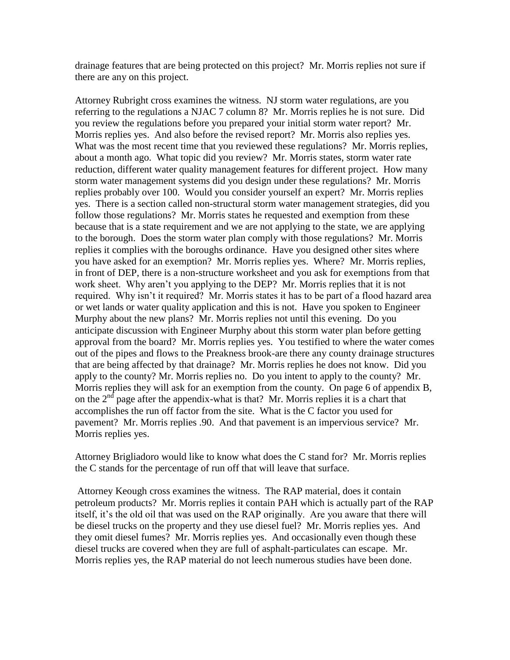drainage features that are being protected on this project? Mr. Morris replies not sure if there are any on this project.

Attorney Rubright cross examines the witness. NJ storm water regulations, are you referring to the regulations a NJAC 7 column 8? Mr. Morris replies he is not sure. Did you review the regulations before you prepared your initial storm water report? Mr. Morris replies yes. And also before the revised report? Mr. Morris also replies yes. What was the most recent time that you reviewed these regulations? Mr. Morris replies, about a month ago. What topic did you review? Mr. Morris states, storm water rate reduction, different water quality management features for different project. How many storm water management systems did you design under these regulations? Mr. Morris replies probably over 100. Would you consider yourself an expert? Mr. Morris replies yes. There is a section called non-structural storm water management strategies, did you follow those regulations? Mr. Morris states he requested and exemption from these because that is a state requirement and we are not applying to the state, we are applying to the borough. Does the storm water plan comply with those regulations? Mr. Morris replies it complies with the boroughs ordinance. Have you designed other sites where you have asked for an exemption? Mr. Morris replies yes. Where? Mr. Morris replies, in front of DEP, there is a non-structure worksheet and you ask for exemptions from that work sheet. Why aren't you applying to the DEP? Mr. Morris replies that it is not required. Why isn't it required? Mr. Morris states it has to be part of a flood hazard area or wet lands or water quality application and this is not. Have you spoken to Engineer Murphy about the new plans? Mr. Morris replies not until this evening. Do you anticipate discussion with Engineer Murphy about this storm water plan before getting approval from the board? Mr. Morris replies yes. You testified to where the water comes out of the pipes and flows to the Preakness brook-are there any county drainage structures that are being affected by that drainage? Mr. Morris replies he does not know. Did you apply to the county? Mr. Morris replies no. Do you intent to apply to the county? Mr. Morris replies they will ask for an exemption from the county. On page 6 of appendix B, on the  $2<sup>nd</sup>$  page after the appendix-what is that? Mr. Morris replies it is a chart that accomplishes the run off factor from the site. What is the C factor you used for pavement? Mr. Morris replies .90. And that pavement is an impervious service? Mr. Morris replies yes.

Attorney Brigliadoro would like to know what does the C stand for? Mr. Morris replies the C stands for the percentage of run off that will leave that surface.

Attorney Keough cross examines the witness. The RAP material, does it contain petroleum products? Mr. Morris replies it contain PAH which is actually part of the RAP itself, it's the old oil that was used on the RAP originally. Are you aware that there will be diesel trucks on the property and they use diesel fuel? Mr. Morris replies yes. And they omit diesel fumes? Mr. Morris replies yes. And occasionally even though these diesel trucks are covered when they are full of asphalt-particulates can escape. Mr. Morris replies yes, the RAP material do not leech numerous studies have been done.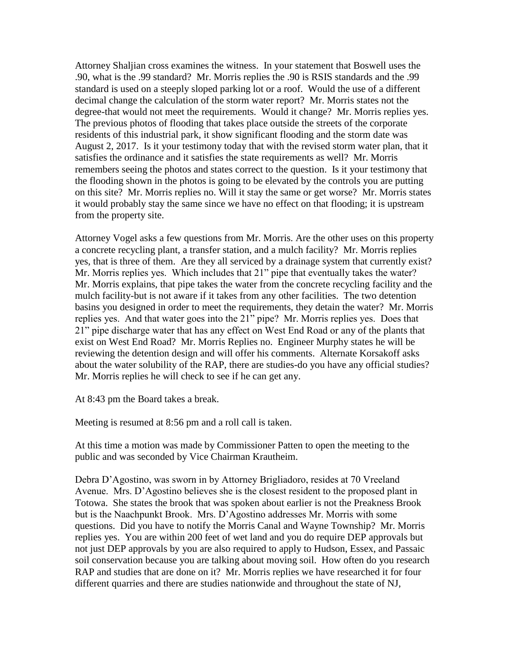Attorney Shaljian cross examines the witness. In your statement that Boswell uses the .90, what is the .99 standard? Mr. Morris replies the .90 is RSIS standards and the .99 standard is used on a steeply sloped parking lot or a roof. Would the use of a different decimal change the calculation of the storm water report? Mr. Morris states not the degree-that would not meet the requirements. Would it change? Mr. Morris replies yes. The previous photos of flooding that takes place outside the streets of the corporate residents of this industrial park, it show significant flooding and the storm date was August 2, 2017. Is it your testimony today that with the revised storm water plan, that it satisfies the ordinance and it satisfies the state requirements as well? Mr. Morris remembers seeing the photos and states correct to the question. Is it your testimony that the flooding shown in the photos is going to be elevated by the controls you are putting on this site? Mr. Morris replies no. Will it stay the same or get worse? Mr. Morris states it would probably stay the same since we have no effect on that flooding; it is upstream from the property site.

Attorney Vogel asks a few questions from Mr. Morris. Are the other uses on this property a concrete recycling plant, a transfer station, and a mulch facility? Mr. Morris replies yes, that is three of them. Are they all serviced by a drainage system that currently exist? Mr. Morris replies yes. Which includes that 21" pipe that eventually takes the water? Mr. Morris explains, that pipe takes the water from the concrete recycling facility and the mulch facility-but is not aware if it takes from any other facilities. The two detention basins you designed in order to meet the requirements, they detain the water? Mr. Morris replies yes. And that water goes into the 21" pipe? Mr. Morris replies yes. Does that 21" pipe discharge water that has any effect on West End Road or any of the plants that exist on West End Road? Mr. Morris Replies no. Engineer Murphy states he will be reviewing the detention design and will offer his comments. Alternate Korsakoff asks about the water solubility of the RAP, there are studies-do you have any official studies? Mr. Morris replies he will check to see if he can get any.

At 8:43 pm the Board takes a break.

Meeting is resumed at 8:56 pm and a roll call is taken.

At this time a motion was made by Commissioner Patten to open the meeting to the public and was seconded by Vice Chairman Krautheim.

Debra D'Agostino, was sworn in by Attorney Brigliadoro, resides at 70 Vreeland Avenue. Mrs. D'Agostino believes she is the closest resident to the proposed plant in Totowa. She states the brook that was spoken about earlier is not the Preakness Brook but is the Naachpunkt Brook. Mrs. D'Agostino addresses Mr. Morris with some questions. Did you have to notify the Morris Canal and Wayne Township? Mr. Morris replies yes. You are within 200 feet of wet land and you do require DEP approvals but not just DEP approvals by you are also required to apply to Hudson, Essex, and Passaic soil conservation because you are talking about moving soil. How often do you research RAP and studies that are done on it? Mr. Morris replies we have researched it for four different quarries and there are studies nationwide and throughout the state of NJ,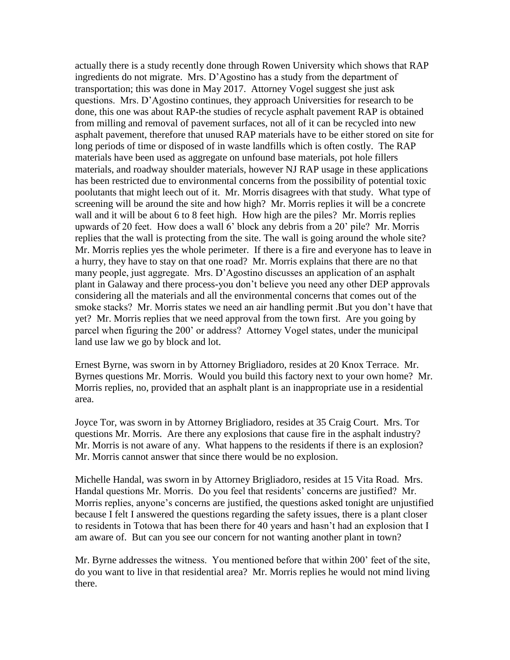actually there is a study recently done through Rowen University which shows that RAP ingredients do not migrate. Mrs. D'Agostino has a study from the department of transportation; this was done in May 2017. Attorney Vogel suggest she just ask questions. Mrs. D'Agostino continues, they approach Universities for research to be done, this one was about RAP-the studies of recycle asphalt pavement RAP is obtained from milling and removal of pavement surfaces, not all of it can be recycled into new asphalt pavement, therefore that unused RAP materials have to be either stored on site for long periods of time or disposed of in waste landfills which is often costly. The RAP materials have been used as aggregate on unfound base materials, pot hole fillers materials, and roadway shoulder materials, however NJ RAP usage in these applications has been restricted due to environmental concerns from the possibility of potential toxic poolutants that might leech out of it. Mr. Morris disagrees with that study. What type of screening will be around the site and how high? Mr. Morris replies it will be a concrete wall and it will be about 6 to 8 feet high. How high are the piles? Mr. Morris replies upwards of 20 feet. How does a wall 6' block any debris from a 20' pile? Mr. Morris replies that the wall is protecting from the site. The wall is going around the whole site? Mr. Morris replies yes the whole perimeter. If there is a fire and everyone has to leave in a hurry, they have to stay on that one road? Mr. Morris explains that there are no that many people, just aggregate. Mrs. D'Agostino discusses an application of an asphalt plant in Galaway and there process-you don't believe you need any other DEP approvals considering all the materials and all the environmental concerns that comes out of the smoke stacks? Mr. Morris states we need an air handling permit .But you don't have that yet? Mr. Morris replies that we need approval from the town first. Are you going by parcel when figuring the 200' or address? Attorney Vogel states, under the municipal land use law we go by block and lot.

Ernest Byrne, was sworn in by Attorney Brigliadoro, resides at 20 Knox Terrace. Mr. Byrnes questions Mr. Morris. Would you build this factory next to your own home? Mr. Morris replies, no, provided that an asphalt plant is an inappropriate use in a residential area.

Joyce Tor, was sworn in by Attorney Brigliadoro, resides at 35 Craig Court. Mrs. Tor questions Mr. Morris. Are there any explosions that cause fire in the asphalt industry? Mr. Morris is not aware of any. What happens to the residents if there is an explosion? Mr. Morris cannot answer that since there would be no explosion.

Michelle Handal, was sworn in by Attorney Brigliadoro, resides at 15 Vita Road. Mrs. Handal questions Mr. Morris. Do you feel that residents' concerns are justified? Mr. Morris replies, anyone's concerns are justified, the questions asked tonight are unjustified because I felt I answered the questions regarding the safety issues, there is a plant closer to residents in Totowa that has been there for 40 years and hasn't had an explosion that I am aware of. But can you see our concern for not wanting another plant in town?

Mr. Byrne addresses the witness. You mentioned before that within 200' feet of the site, do you want to live in that residential area? Mr. Morris replies he would not mind living there.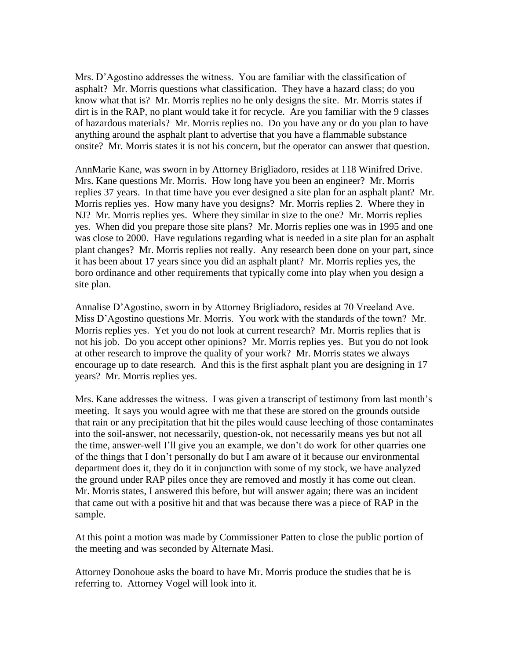Mrs. D'Agostino addresses the witness. You are familiar with the classification of asphalt? Mr. Morris questions what classification. They have a hazard class; do you know what that is? Mr. Morris replies no he only designs the site. Mr. Morris states if dirt is in the RAP, no plant would take it for recycle. Are you familiar with the 9 classes of hazardous materials? Mr. Morris replies no. Do you have any or do you plan to have anything around the asphalt plant to advertise that you have a flammable substance onsite? Mr. Morris states it is not his concern, but the operator can answer that question.

AnnMarie Kane, was sworn in by Attorney Brigliadoro, resides at 118 Winifred Drive. Mrs. Kane questions Mr. Morris. How long have you been an engineer? Mr. Morris replies 37 years. In that time have you ever designed a site plan for an asphalt plant? Mr. Morris replies yes. How many have you designs? Mr. Morris replies 2. Where they in NJ? Mr. Morris replies yes. Where they similar in size to the one? Mr. Morris replies yes. When did you prepare those site plans? Mr. Morris replies one was in 1995 and one was close to 2000. Have regulations regarding what is needed in a site plan for an asphalt plant changes? Mr. Morris replies not really. Any research been done on your part, since it has been about 17 years since you did an asphalt plant? Mr. Morris replies yes, the boro ordinance and other requirements that typically come into play when you design a site plan.

Annalise D'Agostino, sworn in by Attorney Brigliadoro, resides at 70 Vreeland Ave. Miss D'Agostino questions Mr. Morris. You work with the standards of the town? Mr. Morris replies yes. Yet you do not look at current research? Mr. Morris replies that is not his job. Do you accept other opinions? Mr. Morris replies yes. But you do not look at other research to improve the quality of your work? Mr. Morris states we always encourage up to date research. And this is the first asphalt plant you are designing in 17 years? Mr. Morris replies yes.

Mrs. Kane addresses the witness. I was given a transcript of testimony from last month's meeting. It says you would agree with me that these are stored on the grounds outside that rain or any precipitation that hit the piles would cause leeching of those contaminates into the soil-answer, not necessarily, question-ok, not necessarily means yes but not all the time, answer-well I'll give you an example, we don't do work for other quarries one of the things that I don't personally do but I am aware of it because our environmental department does it, they do it in conjunction with some of my stock, we have analyzed the ground under RAP piles once they are removed and mostly it has come out clean. Mr. Morris states, I answered this before, but will answer again; there was an incident that came out with a positive hit and that was because there was a piece of RAP in the sample.

At this point a motion was made by Commissioner Patten to close the public portion of the meeting and was seconded by Alternate Masi.

Attorney Donohoue asks the board to have Mr. Morris produce the studies that he is referring to. Attorney Vogel will look into it.